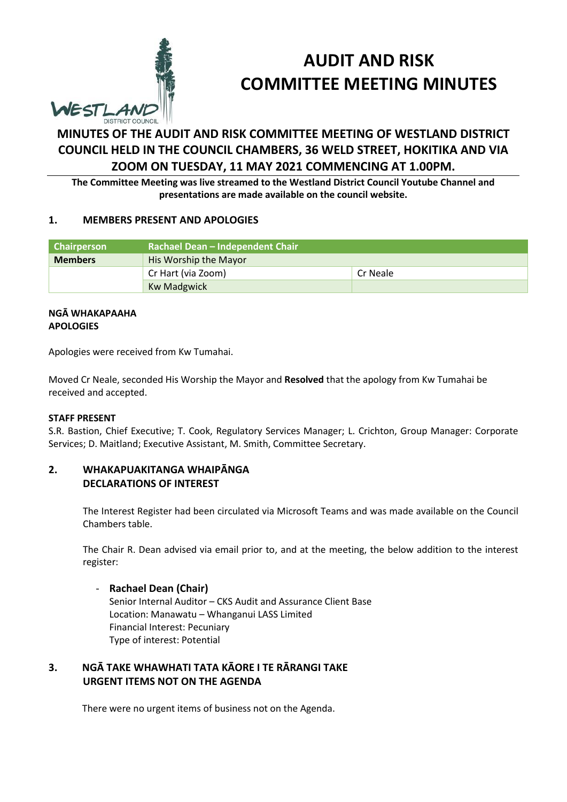

# **AUDIT AND RISK COMMITTEE MEETING MINUTES**

# **MINUTES OF THE AUDIT AND RISK COMMITTEE MEETING OF WESTLAND DISTRICT COUNCIL HELD IN THE COUNCIL CHAMBERS, 36 WELD STREET, HOKITIKA AND VIA ZOOM ON TUESDAY, 11 MAY 2021 COMMENCING AT 1.00PM.**

**The Committee Meeting was live streamed to the Westland District Council Youtube Channel and presentations are made available on the council website.**

#### **1. MEMBERS PRESENT AND APOLOGIES**

| <b>Chairperson</b> | Rachael Dean - Independent Chair |          |  |
|--------------------|----------------------------------|----------|--|
| <b>Members</b>     | His Worship the Mayor            |          |  |
|                    | Cr Hart (via Zoom)               | Cr Neale |  |
|                    | <b>Kw Madgwick</b>               |          |  |

#### **NGĀ WHAKAPAAHA APOLOGIES**

Apologies were received from Kw Tumahai.

Moved Cr Neale, seconded His Worship the Mayor and **Resolved** that the apology from Kw Tumahai be received and accepted.

#### **STAFF PRESENT**

S.R. Bastion, Chief Executive; T. Cook, Regulatory Services Manager; L. Crichton, Group Manager: Corporate Services; D. Maitland; Executive Assistant, M. Smith, Committee Secretary.

# **2. WHAKAPUAKITANGA WHAIPĀNGA DECLARATIONS OF INTEREST**

The Interest Register had been circulated via Microsoft Teams and was made available on the Council Chambers table.

The Chair R. Dean advised via email prior to, and at the meeting, the below addition to the interest register:

## - **Rachael Dean (Chair)**

Senior Internal Auditor – CKS Audit and Assurance Client Base Location: Manawatu – Whanganui LASS Limited Financial Interest: Pecuniary Type of interest: Potential

# **3. NGĀ TAKE WHAWHATI TATA KĀORE I TE RĀRANGI TAKE URGENT ITEMS NOT ON THE AGENDA**

There were no urgent items of business not on the Agenda.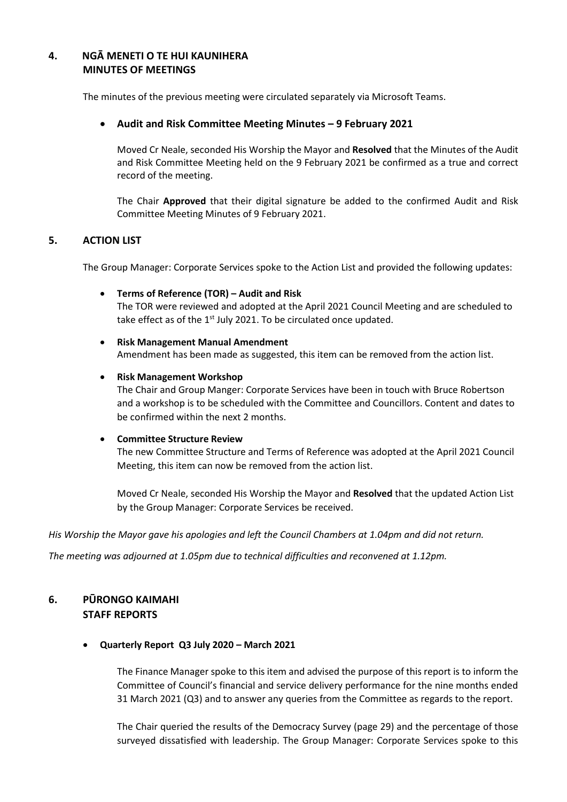# **4. NGĀ MENETI O TE HUI KAUNIHERA MINUTES OF MEETINGS**

The minutes of the previous meeting were circulated separately via Microsoft Teams.

#### **Audit and Risk Committee Meeting Minutes – 9 February 2021**

Moved Cr Neale, seconded His Worship the Mayor and **Resolved** that the Minutes of the Audit and Risk Committee Meeting held on the 9 February 2021 be confirmed as a true and correct record of the meeting.

The Chair **Approved** that their digital signature be added to the confirmed Audit and Risk Committee Meeting Minutes of 9 February 2021.

## **5. ACTION LIST**

The Group Manager: Corporate Services spoke to the Action List and provided the following updates:

- **Terms of Reference (TOR) – Audit and Risk** The TOR were reviewed and adopted at the April 2021 Council Meeting and are scheduled to take effect as of the  $1<sup>st</sup>$  July 2021. To be circulated once updated.
- **Risk Management Manual Amendment** Amendment has been made as suggested, this item can be removed from the action list.

#### **Risk Management Workshop**

The Chair and Group Manger: Corporate Services have been in touch with Bruce Robertson and a workshop is to be scheduled with the Committee and Councillors. Content and dates to be confirmed within the next 2 months.

#### **Committee Structure Review**

The new Committee Structure and Terms of Reference was adopted at the April 2021 Council Meeting, this item can now be removed from the action list.

Moved Cr Neale, seconded His Worship the Mayor and **Resolved** that the updated Action List by the Group Manager: Corporate Services be received.

*His Worship the Mayor gave his apologies and left the Council Chambers at 1.04pm and did not return.*

*The meeting was adjourned at 1.05pm due to technical difficulties and reconvened at 1.12pm.* 

# **6. PŪRONGO KAIMAHI STAFF REPORTS**

#### **Quarterly Report Q3 July 2020 – March 2021**

The Finance Manager spoke to this item and advised the purpose of this report is to inform the Committee of Council's financial and service delivery performance for the nine months ended 31 March 2021 (Q3) and to answer any queries from the Committee as regards to the report.

The Chair queried the results of the Democracy Survey (page 29) and the percentage of those surveyed dissatisfied with leadership. The Group Manager: Corporate Services spoke to this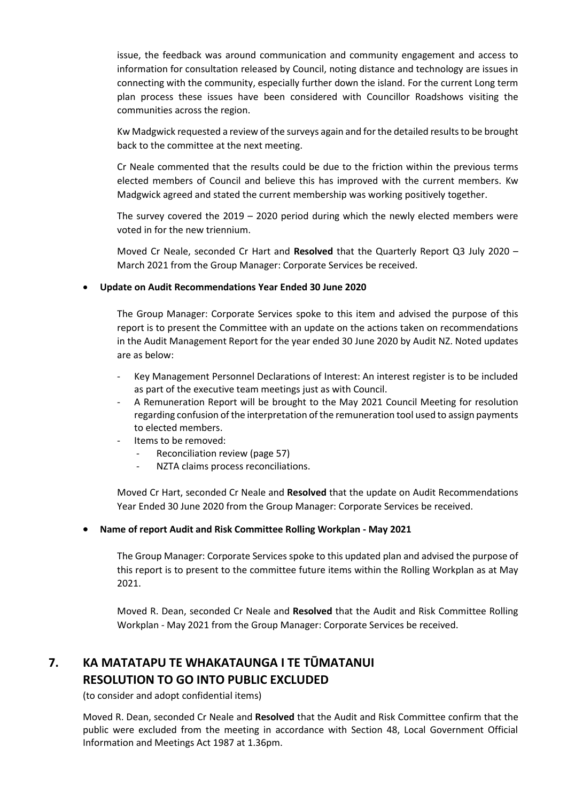issue, the feedback was around communication and community engagement and access to information for consultation released by Council, noting distance and technology are issues in connecting with the community, especially further down the island. For the current Long term plan process these issues have been considered with Councillor Roadshows visiting the communities across the region.

Kw Madgwick requested a review of the surveys again and for the detailed results to be brought back to the committee at the next meeting.

Cr Neale commented that the results could be due to the friction within the previous terms elected members of Council and believe this has improved with the current members. Kw Madgwick agreed and stated the current membership was working positively together.

The survey covered the  $2019 - 2020$  period during which the newly elected members were voted in for the new triennium.

Moved Cr Neale, seconded Cr Hart and **Resolved** that the Quarterly Report Q3 July 2020 – March 2021 from the Group Manager: Corporate Services be received.

## **Update on Audit Recommendations Year Ended 30 June 2020**

The Group Manager: Corporate Services spoke to this item and advised the purpose of this report is to present the Committee with an update on the actions taken on recommendations in the Audit Management Report for the year ended 30 June 2020 by Audit NZ. Noted updates are as below:

- Key Management Personnel Declarations of Interest: An interest register is to be included as part of the executive team meetings just as with Council.
- A Remuneration Report will be brought to the May 2021 Council Meeting for resolution regarding confusion of the interpretation of the remuneration tool used to assign payments to elected members.
- Items to be removed:
	- Reconciliation review (page 57)
	- NZTA claims process reconciliations.

Moved Cr Hart, seconded Cr Neale and **Resolved** that the update on Audit Recommendations Year Ended 30 June 2020 from the Group Manager: Corporate Services be received.

#### **Name of report Audit and Risk Committee Rolling Workplan - May 2021**

The Group Manager: Corporate Services spoke to this updated plan and advised the purpose of this report is to present to the committee future items within the Rolling Workplan as at May 2021.

Moved R. Dean, seconded Cr Neale and **Resolved** that the Audit and Risk Committee Rolling Workplan - May 2021 from the Group Manager: Corporate Services be received.

# **7. KA MATATAPU TE WHAKATAUNGA I TE TŪMATANUI RESOLUTION TO GO INTO PUBLIC EXCLUDED**

(to consider and adopt confidential items)

 Moved R. Dean, seconded Cr Neale and **Resolved** that the Audit and Risk Committee confirm that the public were excluded from the meeting in accordance with Section 48, Local Government Official Information and Meetings Act 1987 at 1.36pm.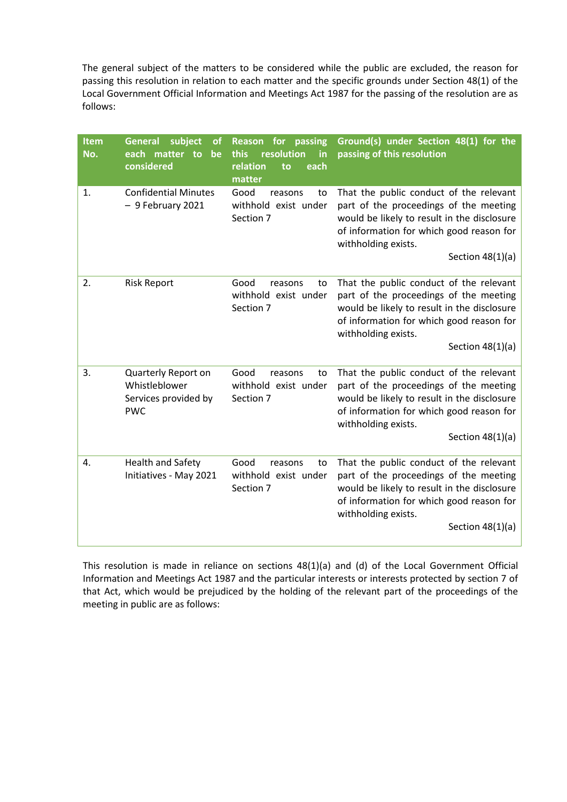The general subject of the matters to be considered while the public are excluded, the reason for passing this resolution in relation to each matter and the specific grounds under Section 48(1) of the Local Government Official Information and Meetings Act 1987 for the passing of the resolution are as follows:

| Item<br>No. | subject<br><b>General</b><br><b>of</b><br>each matter to<br>be<br>considered | for<br>passing<br><b>Reason</b><br>resolution<br>this<br>in<br>relation<br>each<br>to<br>matter | Ground(s) under Section 48(1) for the<br>passing of this resolution                                                                                                                                                       |
|-------------|------------------------------------------------------------------------------|-------------------------------------------------------------------------------------------------|---------------------------------------------------------------------------------------------------------------------------------------------------------------------------------------------------------------------------|
| 1.          | <b>Confidential Minutes</b><br>- 9 February 2021                             | Good<br>reasons<br>to<br>withhold exist under<br>Section 7                                      | That the public conduct of the relevant<br>part of the proceedings of the meeting<br>would be likely to result in the disclosure<br>of information for which good reason for<br>withholding exists.<br>Section $48(1)(a)$ |
| 2.          | <b>Risk Report</b>                                                           | Good<br>reasons<br>to<br>withhold exist under<br>Section 7                                      | That the public conduct of the relevant<br>part of the proceedings of the meeting<br>would be likely to result in the disclosure<br>of information for which good reason for<br>withholding exists.<br>Section $48(1)(a)$ |
| 3.          | Quarterly Report on<br>Whistleblower<br>Services provided by<br><b>PWC</b>   | Good<br>reasons<br>to<br>withhold exist under<br>Section 7                                      | That the public conduct of the relevant<br>part of the proceedings of the meeting<br>would be likely to result in the disclosure<br>of information for which good reason for<br>withholding exists.<br>Section $48(1)(a)$ |
| 4.          | <b>Health and Safety</b><br>Initiatives - May 2021                           | Good<br>reasons<br>to<br>withhold exist under<br>Section 7                                      | That the public conduct of the relevant<br>part of the proceedings of the meeting<br>would be likely to result in the disclosure<br>of information for which good reason for<br>withholding exists.<br>Section $48(1)(a)$ |

This resolution is made in reliance on sections 48(1)(a) and (d) of the Local Government Official Information and Meetings Act 1987 and the particular interests or interests protected by section 7 of that Act, which would be prejudiced by the holding of the relevant part of the proceedings of the meeting in public are as follows: